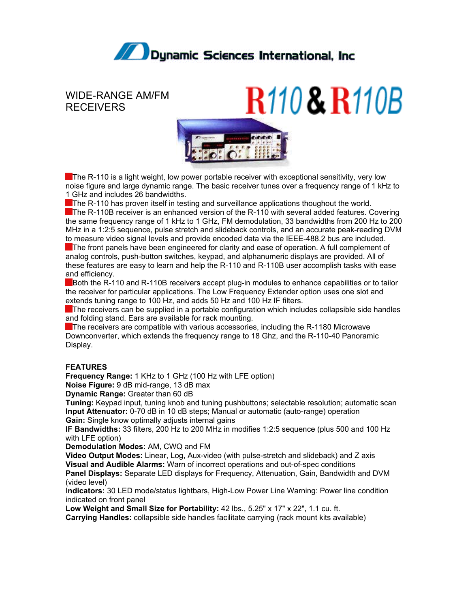

## WIDE-RANGE AM/FM RECEIVERS





The R-110 is a light weight, low power portable receiver with exceptional sensitivity, very low noise figure and large dynamic range. The basic receiver tunes over a frequency range of 1 kHz to 1 GHz and includes 26 bandwidths.

The R-110 has proven itself in testing and surveillance applications thoughout the world.

The R-110B receiver is an enhanced version of the R-110 with several added features. Covering the same frequency range of 1 kHz to 1 GHz, FM demodulation, 33 bandwidths from 200 Hz to 200 MHz in a 1:2:5 sequence, pulse stretch and slideback controls, and an accurate peak-reading DVM to measure video signal levels and provide encoded data via the IEEE-488.2 bus are included. The front panels have been engineered for clarity and ease of operation. A full complement of analog controls, push-button switches, keypad, and alphanumeric displays are provided. All of these features are easy to learn and help the R-110 and R-110B user accomplish tasks with ease

and efficiency.

Both the R-110 and R-110B receivers accept plug-in modules to enhance capabilities or to tailor the receiver for particular applications. The Low Frequency Extender option uses one slot and extends tuning range to 100 Hz, and adds 50 Hz and 100 Hz IF filters.

The receivers can be supplied in a portable configuration which includes collapsible side handles and folding stand. Ears are available for rack mounting.

**The receivers are compatible with various accessories, including the R-1180 Microwave** Downconverter, which extends the frequency range to 18 Ghz, and the R-110-40 Panoramic Display.

## **FEATURES**

**Frequency Range:** 1 KHz to 1 GHz (100 Hz with LFE option)

**Noise Figure:** 9 dB mid-range, 13 dB max

**Dynamic Range:** Greater than 60 dB

**Tuning:** Keypad input, tuning knob and tuning pushbuttons; selectable resolution; automatic scan **Input Attenuator:** 0-70 dB in 10 dB steps; Manual or automatic (auto-range) operation **Gain:** Single know optimally adjusts internal gains

**IF Bandwidths:** 33 filters, 200 Hz to 200 MHz in modifies 1:2:5 sequence (plus 500 and 100 Hz with LFE option)

**Demodulation Modes:** AM, CWQ and FM

**Video Output Modes:** Linear, Log, Aux-video (with pulse-stretch and slideback) and Z axis **Visual and Audible Alarms:** Warn of incorrect operations and out-of-spec conditions **Panel Displays:** Separate LED displays for Frequency, Attenuation, Gain, Bandwidth and DVM (video level)

I**ndicators:** 30 LED mode/status lightbars, High-Low Power Line Warning: Power line condition indicated on front panel

**Low Weight and Small Size for Portability:** 42 lbs., 5.25" x 17" x 22", 1.1 cu. ft. **Carrying Handles:** collapsible side handles facilitate carrying (rack mount kits available)